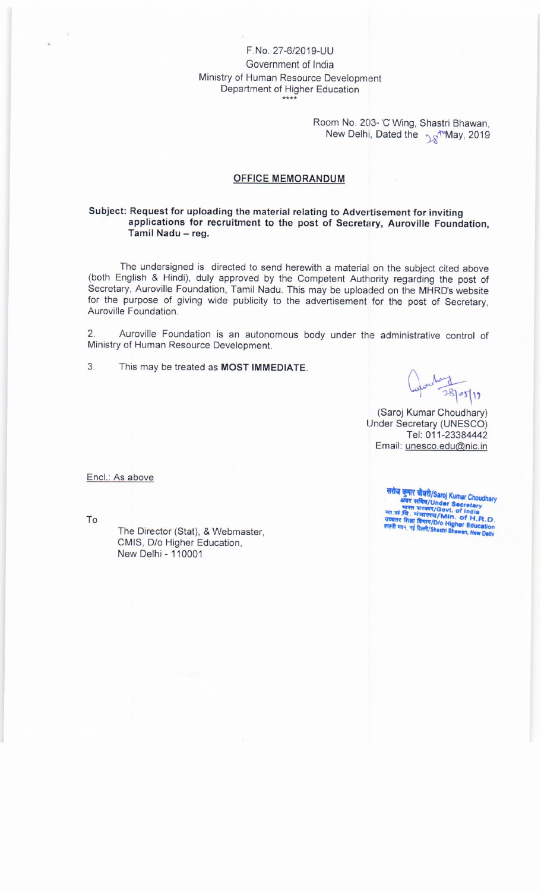## F.No. 27-6/2019-UU Government of India Ministry of Human Resource Development Department of Higher Education

Room No. 203-'C' Wing, Shastri Bhawan, New Delhi, Dated the  $\sqrt{s}$ <sup>+</sup>May, 2019

#### **OFFICE MEMORANDUM**

#### Subject: Request for uploading the material relating to Advertisement for inviting applications for recruitment to the post of Secretary, Auroville Foundation, Tamil Nadu - reg.

The undersigned is directed to send herewith a material on the subject cited above (both English & Hindi), duly approved by the Competent Authority regarding the post of Secretary, Auroville Foundation, Tamil Nadu. This may be uploaded on the MHRD's website for the purpose of giving wide publicity to the advertisement for the post of Secretary, Auroville Foundation.

Auroville Foundation is an autonomous body under the administrative control of  $2.$ Ministry of Human Resource Development.

 $3.$ This may be treated as MOST IMMEDIATE.

 $\frac{28}{28}$ 

(Saroj Kumar Choudhary) Under Secretary (UNESCO) Tel: 011-23384442 Email: unesco.edu@nic.in

Encl.: As above

To

The Director (Stat), & Webmaster, CMIS, D/o Higher Education, New Delhi - 110001

सरोज कुमार चौधरी/Saroj Kumar Choudhary<br>अवर सचिव/Under Secretary<br>मा.सं. भारत सरकार/Govt. of india<br>उच्चतर शिक्षा विमान/D/o Higher Education<br>उच्चतर शिक्षा विमान/D/o Higher Education<br>शास्त्री भवन, नई दिल्ली/Shastri Bhawan, Ne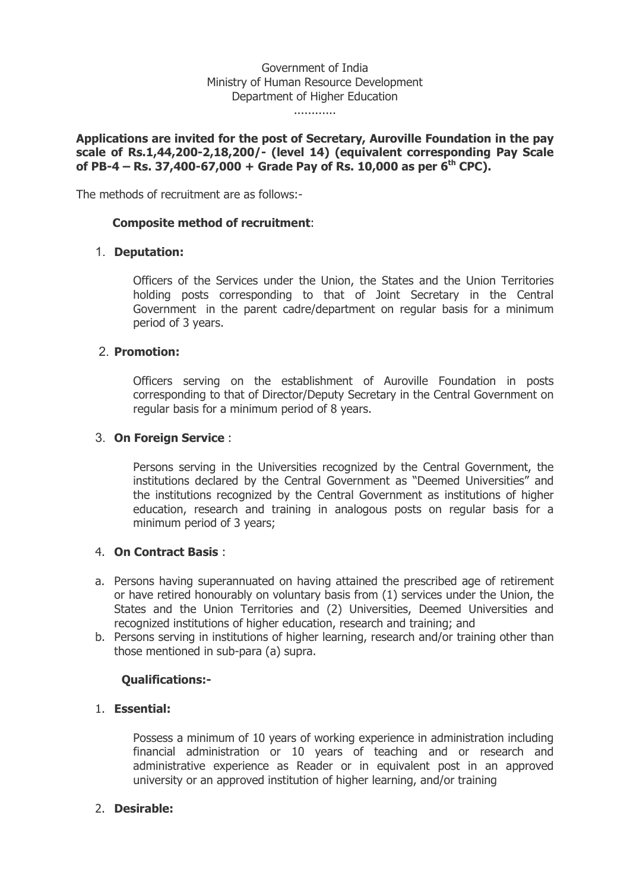Government of India Ministry of Human Resource Development Department of Higher Education

............

**Applications are invited for the post of Secretary, Auroville Foundation in the pay scale of Rs.1,44,200-2,18,200/- (level 14) (equivalent corresponding Pay Scale of PB-4 – Rs. 37,400-67,000 + Grade Pay of Rs. 10,000 as per 6th CPC).**

The methods of recruitment are as follows:-

#### **Composite method of recruitment**:

#### 1. **Deputation:**

Officers of the Services under the Union, the States and the Union Territories holding posts corresponding to that of Joint Secretary in the Central Government in the parent cadre/department on regular basis for a minimum period of 3 years.

#### 2. **Promotion:**

Officers serving on the establishment of Auroville Foundation in posts corresponding to that of Director/Deputy Secretary in the Central Government on regular basis for a minimum period of 8 years.

#### 3. **On Foreign Service** :

Persons serving in the Universities recognized by the Central Government, the institutions declared by the Central Government as "Deemed Universities" and the institutions recognized by the Central Government as institutions of higher education, research and training in analogous posts on regular basis for a minimum period of 3 years;

#### 4. **On Contract Basis** :

- a. Persons having superannuated on having attained the prescribed age of retirement or have retired honourably on voluntary basis from (1) services under the Union, the States and the Union Territories and (2) Universities, Deemed Universities and recognized institutions of higher education, research and training; and
- b. Persons serving in institutions of higher learning, research and/or training other than those mentioned in sub-para (a) supra.

#### **Qualifications:-**

#### 1. **Essential:**

Possess a minimum of 10 years of working experience in administration including financial administration or 10 years of teaching and or research and administrative experience as Reader or in equivalent post in an approved university or an approved institution of higher learning, and/or training

#### 2. **Desirable:**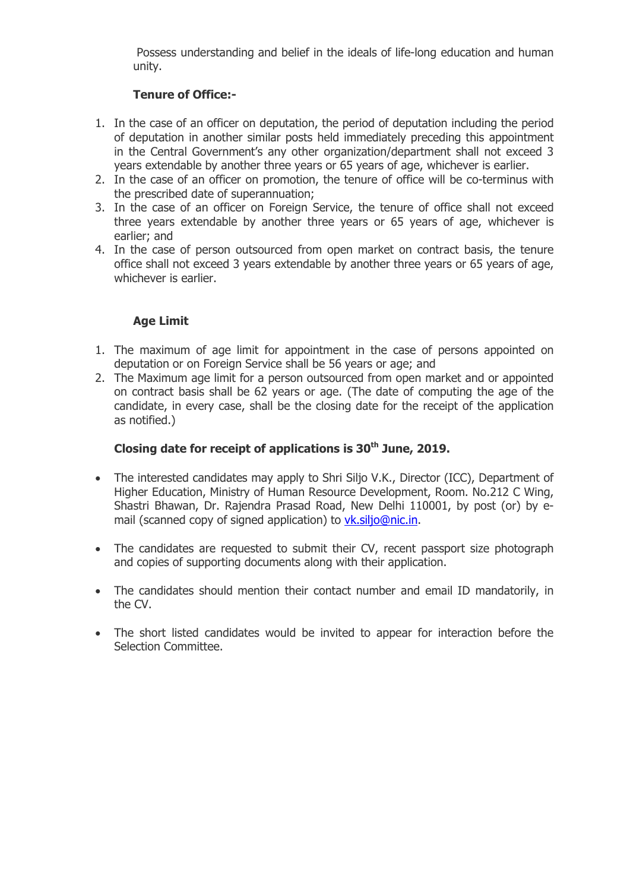Possess understanding and belief in the ideals of life-long education and human unity.

## **Tenure of Office:-**

- 1. In the case of an officer on deputation, the period of deputation including the period of deputation in another similar posts held immediately preceding this appointment in the Central Government's any other organization/department shall not exceed 3 years extendable by another three years or 65 years of age, whichever is earlier.
- 2. In the case of an officer on promotion, the tenure of office will be co-terminus with the prescribed date of superannuation;
- 3. In the case of an officer on Foreign Service, the tenure of office shall not exceed three years extendable by another three years or 65 years of age, whichever is earlier; and
- 4. In the case of person outsourced from open market on contract basis, the tenure office shall not exceed 3 years extendable by another three years or 65 years of age, whichever is earlier.

## **Age Limit**

- 1. The maximum of age limit for appointment in the case of persons appointed on deputation or on Foreign Service shall be 56 years or age; and
- 2. The Maximum age limit for a person outsourced from open market and or appointed on contract basis shall be 62 years or age. (The date of computing the age of the candidate, in every case, shall be the closing date for the receipt of the application as notified.)

## **Closing date for receipt of applications is 30th June, 2019.**

- The interested candidates may apply to Shri Siljo V.K., Director (ICC), Department of Higher Education, Ministry of Human Resource Development, Room. No.212 C Wing, Shastri Bhawan, Dr. Rajendra Prasad Road, New Delhi 110001, by post (or) by email (scanned copy of signed application) to vk.siljo@nic.in.
- The candidates are requested to submit their CV, recent passport size photograph and copies of supporting documents along with their application.
- The candidates should mention their contact number and email ID mandatorily, in the CV.
- The short listed candidates would be invited to appear for interaction before the Selection Committee.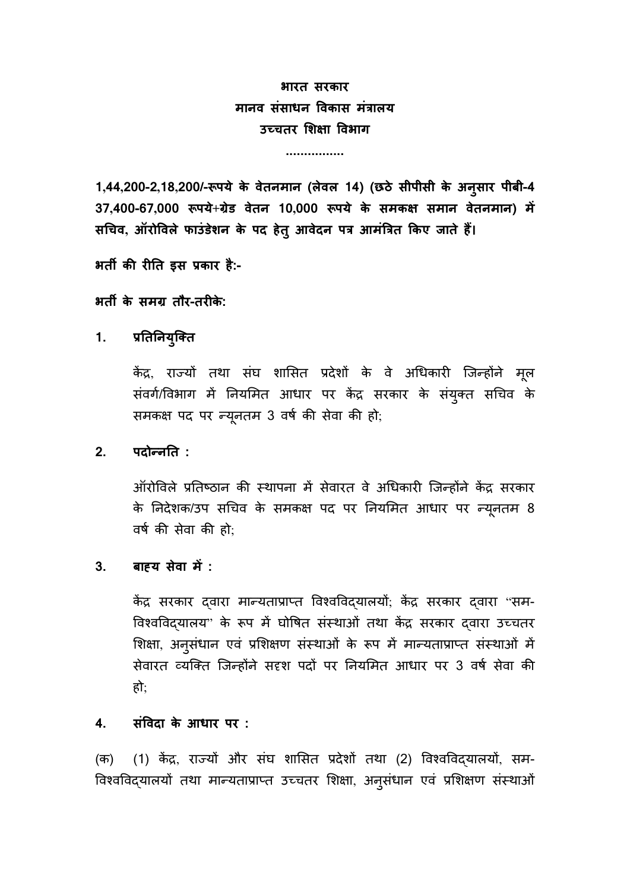# **भारत सरकार मानव संसाधन वकास मंालय उ चतर शा वभाग**

**................**

**1,44,200-2,18,200/-पये के वेतनमान (लेवल 14) (छठे सीपीसी के अनु सार पीबी-4 37,400-67,000 पये+ेड वेतन 10,000 पये के समक समान वेतनमान) म सचव, ऑरोवले फाउं डेशन के पद हेतु आवेदन प आमंत कए जाते ह।** 

**भत क रत इस कार है:-**

**भत के सम तौर-तरके:** 

## **1. तनयुित**

केंद्र, राज्यो तथा संघ शासित प्रदेशो के वे अधिकारी जिन्होने मूल सवर्ग/विभाग में नियमित आधार पर केंद्र सरकार के संयुक्त सचिव के समकक्ष पद पर न्यूनतम 3 वर्ष की सेवा की हो;

## **2. पदो नत :**

ऑरोविले प्रतिष्ठान की स्थापना में सेवारत वे अधिकारी जिन्होंने केंद्र सरकार के निदेशक/उप सचिव के समकक्ष पद पर नियमित आधार पर न्यूनतम 8 वर्ष की सेवा की हो;

## **3. बाय सेवा म :**

केंद्र सरकार दवारा मान्यताप्राप्त विश्वविद्यालयों; केंद्र सरकार दवारा "सम-विश्वविदयालय" के रूप में घोषित संस्थाओं तथा केंद्र सरकार दवारा उच्चतर शिक्षा, अनुसंधान एवं प्रशिक्षण संस्थाओं के रूप में मान्यताप्राप्त संस्थाओं में सेवारत व्यक्ति जिन्होंने सदृश पदों पर नियमित आधार पर 3 वर्ष सेवा की हो;

## **4. संवदा के आधार पर :**

(क) (1) केंद्र, राज्यों और संघ शासित प्रदेशों तथा (2) विश्वविदयालयों, सम-विश्वविद्यालयो तथा मान्यताप्राप्त उच्चतर शिक्षा, अनुसंधान एव प्रशिक्षण संस्थाओ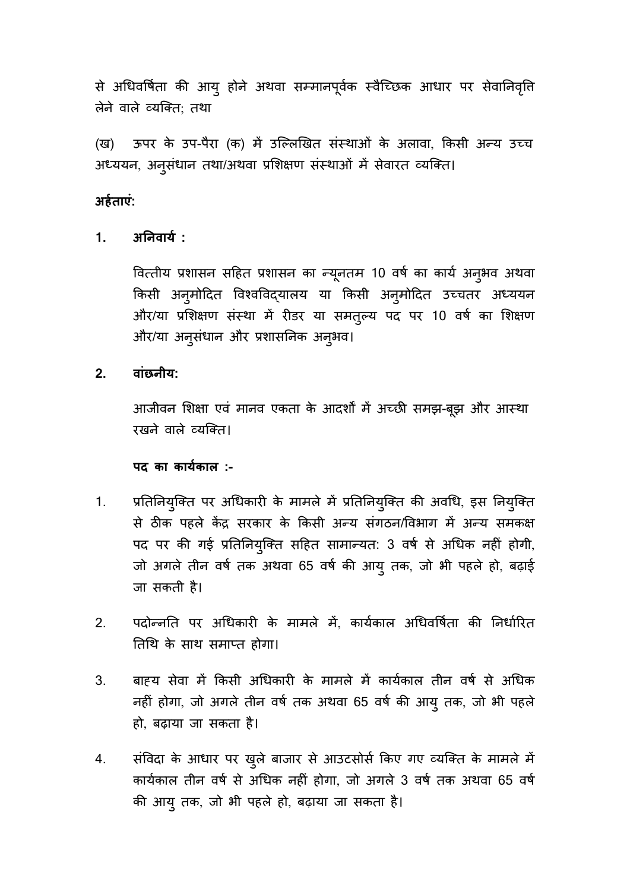से अधिवर्षिता की आयु होने अथवा सम्मानपूर्वक स्वैच्छिक आधार पर सेवानिवृत्ति लेने वाले यित; तथा

(ख) ऊपर के उप-पैरा (क) में उल्लिखित संस्थाओं के अलावा, किसी अन्य उच्च अध्ययन, अनुसंधान तथा/अथवा प्रशिक्षण सस्थाओं में सेवारत व्यक्ति।

## **अहताएं:**

**1. अनवाय :**

वित्तीय प्रशासन सहित प्रशासन का न्यूनतम 10 वर्ष का कार्य अनुभव अथवा किसी अनुमोदित विश्वविद्यालय या किसी अनुमोदित उच्चतर अध्ययन और/या प्रशिक्षण संस्था में रीडर या समतुल्य पद पर 10 वर्ष का शिक्षण और/या अनु संधान और शासनक अनु भव।

## **2. वांछनीय:**

आजीवन शिक्षा एवं मानव एकता के आदर्शों में अच्छी समझ-बूझ और आस्था रखने वाले यित।

## **पद का कायकाल :-**

- 1. प्रतिनियुक्ति पर अधिकारी के मामले में प्रतिनियुक्ति की अवधि, इस नियुक्ति से ठीक पहले केंद्र सरकार के किसी अन्य संगठन/विभाग में अन्य समकक्ष पद पर की गई प्रतिनियुक्ति सहित सामान्यत: 3 वर्ष से अधिक नहीं होगी, जो अगले तीन वर्ष तक अथवा 65 वर्ष की आयु तक, जो भी पहले हो, बढ़ाई जा सकती है।
- 2. पदोन्नति पर अधिकारी के मामले में, कार्यकाल अधिवर्षिता की निर्धारित तिथि के साथ समाप्त होगा।
- 3. बाहय सेवा में किसी अधिकारी के मामले में कार्यकाल तीन वर्ष से अधिक नहीं होगा, जो अगले तीन वर्ष तक अथवा 65 वर्ष की आयु तक, जो भी पहले हो, बढ़ाया जा सकता है।
- 4. संवदा के आधार पर खु ले बाजार से आउटसोस कए गए यित के मामले म कायकाल तीन वष से अधक नहं होगा, जो अगले 3 वष तक अथवा 65 वष की आयु तक, जो भी पहले हो, बढ़ाया जा सकता है।